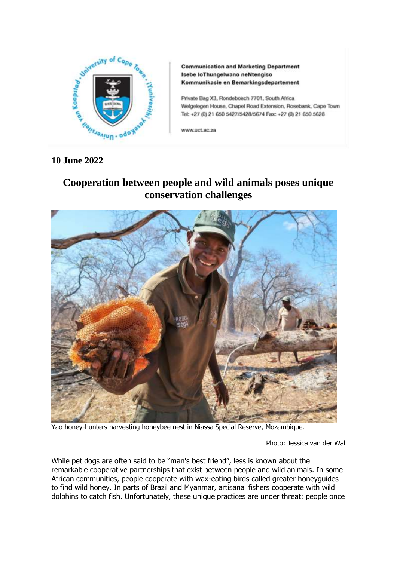

**Communication and Marketing Department** Isebe loThungelwano neNtengiso Kommunikasie en Bemarkingsdepartement

Private Bag X3, Rondebosch 7701, South Africa Welgelegen House, Chapel Road Extension, Rosebank, Cape Town Tel: +27 (0) 21 650 5427/5428/5674 Fax: +27 (0) 21 650 5628

www.uct.ac.za

## **10 June 2022**

## **Cooperation between people and wild animals poses unique conservation challenges**



Yao honey-hunters harvesting honeybee nest in Niassa Special Reserve, Mozambique.

Photo: Jessica van der Wal

While pet dogs are often said to be "man's best friend", less is known about the remarkable cooperative partnerships that exist between people and wild animals. In some African communities, people cooperate with wax-eating birds called greater honeyguides to find wild honey. In parts of Brazil and Myanmar, artisanal fishers cooperate with wild dolphins to catch fish. Unfortunately, these unique practices are under threat: people once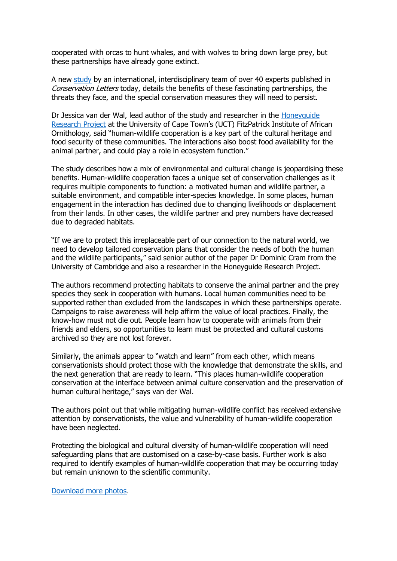cooperated with orcas to hunt whales, and with wolves to bring down large prey, but these partnerships have already gone extinct.

A new [study](https://conbio.onlinelibrary.wiley.com/doi/full/10.1111/conl.12886) by an international, interdisciplinary team of over 40 experts published in Conservation Letters today, details the benefits of these fascinating partnerships, the threats they face, and the special conservation measures they will need to persist.

Dr Jessica van der Wal, lead author of the study and researcher in the [Honeyguide](https://africanhoneyguides.com/)  [Research Project](https://africanhoneyguides.com/) at the University of Cape Town's (UCT) FitzPatrick Institute of African Ornithology, said "human-wildlife cooperation is a key part of the cultural heritage and food security of these communities. The interactions also boost food availability for the animal partner, and could play a role in ecosystem function."

The study describes how a mix of environmental and cultural change is jeopardising these benefits. Human-wildlife cooperation faces a unique set of conservation challenges as it requires multiple components to function: a motivated human and wildlife partner, a suitable environment, and compatible inter-species knowledge. In some places, human engagement in the interaction has declined due to changing livelihoods or displacement from their lands. In other cases, the wildlife partner and prey numbers have decreased due to degraded habitats.

"If we are to protect this irreplaceable part of our connection to the natural world, we need to develop tailored conservation plans that consider the needs of both the human and the wildlife participants," said senior author of the paper Dr Dominic Cram from the University of Cambridge and also a researcher in the Honeyguide Research Project.

The authors recommend protecting habitats to conserve the animal partner and the prey species they seek in cooperation with humans. Local human communities need to be supported rather than excluded from the landscapes in which these partnerships operate. Campaigns to raise awareness will help affirm the value of local practices. Finally, the know-how must not die out. People learn how to cooperate with animals from their friends and elders, so opportunities to learn must be protected and cultural customs archived so they are not lost forever.

Similarly, the animals appear to "watch and learn" from each other, which means conservationists should protect those with the knowledge that demonstrate the skills, and the next generation that are ready to learn. "This places human-wildlife cooperation conservation at the interface between animal culture conservation and the preservation of human cultural heritage," says van der Wal.

The authors point out that while mitigating human-wildlife conflict has received extensive attention by conservationists, the value and vulnerability of human-wildlife cooperation have been neglected.

Protecting the biological and cultural diversity of human-wildlife cooperation will need safeguarding plans that are customised on a case-by-case basis. Further work is also required to identify examples of human-wildlife cooperation that may be occurring today but remain unknown to the scientific community.

[Download more photos](https://www.dropbox.com/sh/7098i2n0y2eu9w8/AACgFknev4yWi_2Hk5zUD8YMa?dl=0).